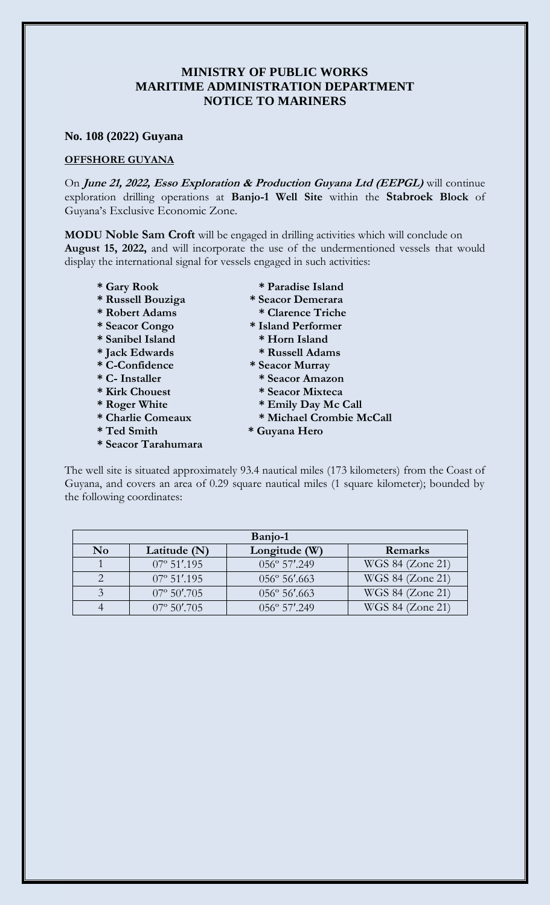## **MINISTRY OF PUBLIC WORKS MARITIME ADMINISTRATION DEPARTMENT NOTICE TO MARINERS**

## **No. 108 (2022) Guyana**

## **OFFSHORE GUYANA**

On **June 21, 2022, Esso Exploration & Production Guyana Ltd (EEPGL)** will continue exploration drilling operations at **Banjo-1 Well Site** within the **Stabroek Block** of Guyana's Exclusive Economic Zone.

**MODU Noble Sam Croft** will be engaged in drilling activities which will conclude on **August 15, 2022,** and will incorporate the use of the undermentioned vessels that would display the international signal for vessels engaged in such activities:

- 
- **\* Russell Bouziga \* Seacor Demerara**
- **\* Robert Adams \* Clarence Triche**
- 
- **\* Sanibel Island \* Horn Island**
- 
- 
- 
- 
- 
- 
- 
- **\* Seacor Tarahumara**
- **\* Gary Rook \* Paradise Island**
	-
	-
- **\* Seacor Congo \* Island Performer** 
	-
- **\* Jack Edwards \* Russell Adams**
- **\* C-Confidence \* Seacor Murray**
- **\* C- Installer \* Seacor Amazon**
- **\* Kirk Chouest \* Seacor Mixteca**
- **\* Roger White \* Emily Day Mc Call**
- **\* Charlie Comeaux \* Michael Crombie McCall**
- **\* Ted Smith \* Guyana Hero**

The well site is situated approximately 93.4 nautical miles (173 kilometers) from the Coast of Guyana, and covers an area of 0.29 square nautical miles (1 square kilometer); bounded by the following coordinates:

| Banjo-1  |                       |                        |                  |
|----------|-----------------------|------------------------|------------------|
| $\bf No$ | Latitude $(N)$        | Longitude (W)          | Remarks          |
|          | $07^{\circ}$ 51'.195  | 056° 57'.249           | WGS 84 (Zone 21) |
|          | $07^{\circ}$ 51'.195  | $056^{\circ} 56'$ .663 | WGS 84 (Zone 21) |
|          | $07^{\circ}$ 50'.705  | $056^{\circ} 56'$ .663 | WGS 84 (Zone 21) |
|          | $07^{\circ} 50'$ .705 | $0.56^{\circ}$ 57'.249 | WGS 84 (Zone 21) |